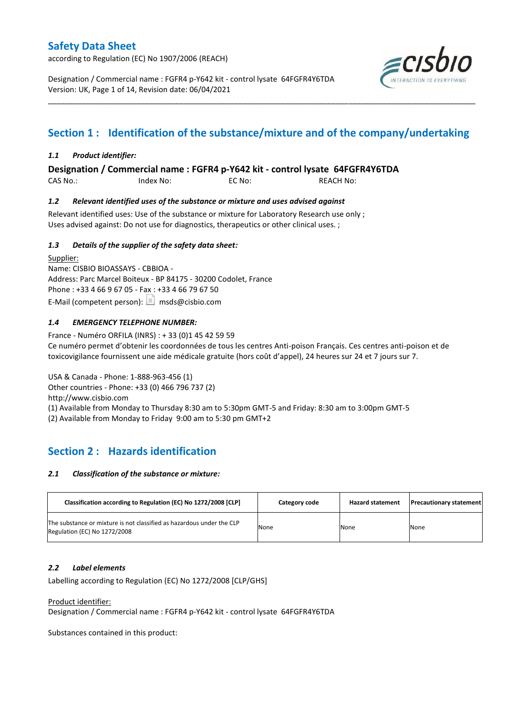according to Regulation (EC) No 1907/2006 (REACH)

Designation / Commercial name : FGFR4 p-Y642 kit - control lysate 64FGFR4Y6TDA Version: UK, Page 1 of 14, Revision date: 06/04/2021



# **Section 1 : Identification of the substance/mixture and of the company/undertaking**

\_\_\_\_\_\_\_\_\_\_\_\_\_\_\_\_\_\_\_\_\_\_\_\_\_\_\_\_\_\_\_\_\_\_\_\_\_\_\_\_\_\_\_\_\_\_\_\_\_\_\_\_\_\_\_\_\_\_\_\_\_\_\_\_\_\_\_\_\_\_\_\_\_\_\_\_\_\_\_\_\_\_\_\_\_\_\_\_\_\_\_\_\_\_\_\_\_\_\_\_\_

### *1.1 Product identifier:*

**Designation / Commercial name : FGFR4 p-Y642 kit - control lysate 64FGFR4Y6TDA** 

CAS No.: Index No: EC No: REACH No:

### *1.2 Relevant identified uses of the substance or mixture and uses advised against*

Relevant identified uses: Use of the substance or mixture for Laboratory Research use only ; Uses advised against: Do not use for diagnostics, therapeutics or other clinical uses. ;

### *1.3 Details of the supplier of the safety data sheet:*

Supplier: Name: CISBIO BIOASSAYS - CBBIOA - Address: Parc Marcel Boiteux - BP 84175 - 30200 Codolet, France Phone : +33 4 66 9 67 05 - Fax : +33 4 66 79 67 50 E-Mail (competent person):  $\boxed{\equiv}$  msds@cisbio.com

### *1.4 EMERGENCY TELEPHONE NUMBER:*

France - Numéro ORFILA (INRS) : + 33 (0)1 45 42 59 59 Ce numéro permet d'obtenir les coordonnées de tous les centres Anti-poison Français. Ces centres anti-poison et de toxicovigilance fournissent une aide médicale gratuite (hors coût d'appel), 24 heures sur 24 et 7 jours sur 7.

USA & Canada - Phone: 1-888-963-456 (1) Other countries - Phone: +33 (0) 466 796 737 (2) http://www.cisbio.com (1) Available from Monday to Thursday 8:30 am to 5:30pm GMT-5 and Friday: 8:30 am to 3:00pm GMT-5 (2) Available from Monday to Friday 9:00 am to 5:30 pm GMT+2

## **Section 2 : Hazards identification**

#### *2.1 Classification of the substance or mixture:*

| Classification according to Regulation (EC) No 1272/2008 [CLP]                                        | Category code | <b>Hazard statement</b> | <b>Precautionary statement</b> |
|-------------------------------------------------------------------------------------------------------|---------------|-------------------------|--------------------------------|
| The substance or mixture is not classified as hazardous under the CLP<br>Regulation (EC) No 1272/2008 | None          | None                    | None                           |

#### *2.2 Label elements*

Labelling according to Regulation (EC) No 1272/2008 [CLP/GHS]

Product identifier:

Designation / Commercial name : FGFR4 p-Y642 kit - control lysate 64FGFR4Y6TDA

Substances contained in this product: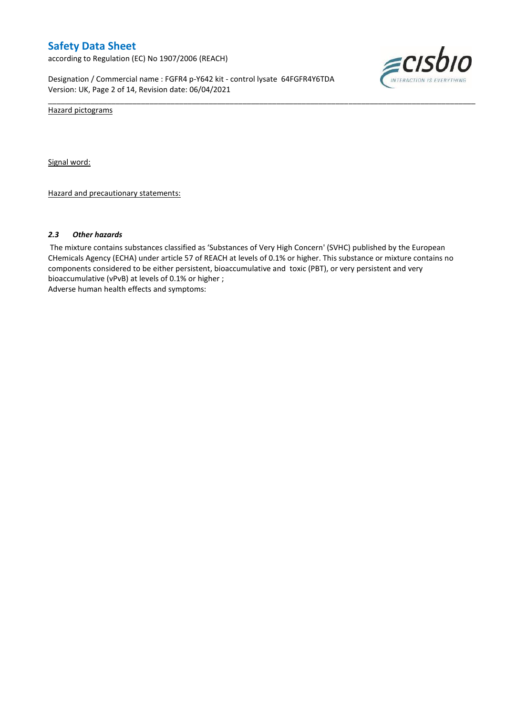according to Regulation (EC) No 1907/2006 (REACH)

Designation / Commercial name : FGFR4 p-Y642 kit - control lysate 64FGFR4Y6TDA Version: UK, Page 2 of 14, Revision date: 06/04/2021



Hazard pictograms

Signal word:

Hazard and precautionary statements:

#### *2.3 Other hazards*

The mixture contains substances classified as 'Substances of Very High Concern' (SVHC) published by the European CHemicals Agency (ECHA) under article 57 of REACH at levels of 0.1% or higher. This substance or mixture contains no components considered to be either persistent, bioaccumulative and toxic (PBT), or very persistent and very bioaccumulative (vPvB) at levels of 0.1% or higher ; Adverse human health effects and symptoms:

\_\_\_\_\_\_\_\_\_\_\_\_\_\_\_\_\_\_\_\_\_\_\_\_\_\_\_\_\_\_\_\_\_\_\_\_\_\_\_\_\_\_\_\_\_\_\_\_\_\_\_\_\_\_\_\_\_\_\_\_\_\_\_\_\_\_\_\_\_\_\_\_\_\_\_\_\_\_\_\_\_\_\_\_\_\_\_\_\_\_\_\_\_\_\_\_\_\_\_\_\_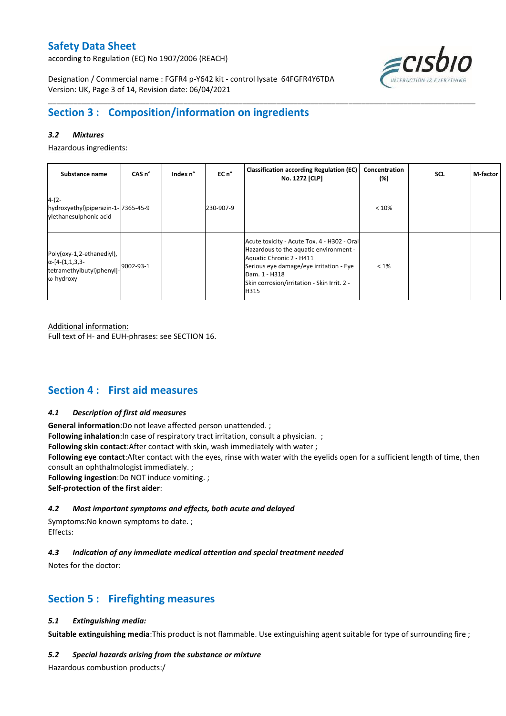according to Regulation (EC) No 1907/2006 (REACH)



Designation / Commercial name : FGFR4 p-Y642 kit - control lysate 64FGFR4Y6TDA Version: UK, Page 3 of 14, Revision date: 06/04/2021

# **Section 3 : Composition/information on ingredients**

### *3.2 Mixtures*

Hazardous ingredients:

| Substance name                                                                                 | CAS <sub>n</sub> ° | Index n° | EC n°     | <b>Classification according Regulation (EC)</b><br>No. 1272 [CLP]                                                                                                                                                                    | Concentration<br>(%) | <b>SCL</b> | M-factor |
|------------------------------------------------------------------------------------------------|--------------------|----------|-----------|--------------------------------------------------------------------------------------------------------------------------------------------------------------------------------------------------------------------------------------|----------------------|------------|----------|
| $4-(2-$<br>hydroxyethyl)piperazin-1-7365-45-9<br>ylethanesulphonic acid                        |                    |          | 230-907-9 |                                                                                                                                                                                                                                      | < 10%                |            |          |
| Poly(oxy-1,2-ethanediyl),<br>$\alpha$ -[4-(1,1,3,3-<br>tetramethylbutyl)phenyl]-<br>ω-hydroxy- | 9002-93-1          |          |           | Acute toxicity - Acute Tox. 4 - H302 - Oral<br>Hazardous to the aquatic environment -<br>Aquatic Chronic 2 - H411<br>Serious eye damage/eye irritation - Eye<br>Dam. 1 - H318<br>Skin corrosion/irritation - Skin Irrit. 2 -<br>H315 | $< 1\%$              |            |          |

\_\_\_\_\_\_\_\_\_\_\_\_\_\_\_\_\_\_\_\_\_\_\_\_\_\_\_\_\_\_\_\_\_\_\_\_\_\_\_\_\_\_\_\_\_\_\_\_\_\_\_\_\_\_\_\_\_\_\_\_\_\_\_\_\_\_\_\_\_\_\_\_\_\_\_\_\_\_\_\_\_\_\_\_\_\_\_\_\_\_\_\_\_\_\_\_\_\_\_\_\_

Additional information:

Full text of H- and EUH-phrases: see SECTION 16.

## **Section 4 : First aid measures**

#### *4.1 Description of first aid measures*

**General information**:Do not leave affected person unattended. ;

**Following inhalation**: In case of respiratory tract irritation, consult a physician. ;

**Following skin contact**:After contact with skin, wash immediately with water ;

**Following eye contact**:After contact with the eyes, rinse with water with the eyelids open for a sufficient length of time, then consult an ophthalmologist immediately. ;

**Following ingestion**:Do NOT induce vomiting. ;

**Self-protection of the first aider**:

#### *4.2 Most important symptoms and effects, both acute and delayed*

Symptoms:No known symptoms to date. ; Effects:

### *4.3 Indication of any immediate medical attention and special treatment needed*

Notes for the doctor:

## **Section 5 : Firefighting measures**

#### *5.1 Extinguishing media:*

**Suitable extinguishing media**:This product is not flammable. Use extinguishing agent suitable for type of surrounding fire ;

#### *5.2 Special hazards arising from the substance or mixture*

Hazardous combustion products:/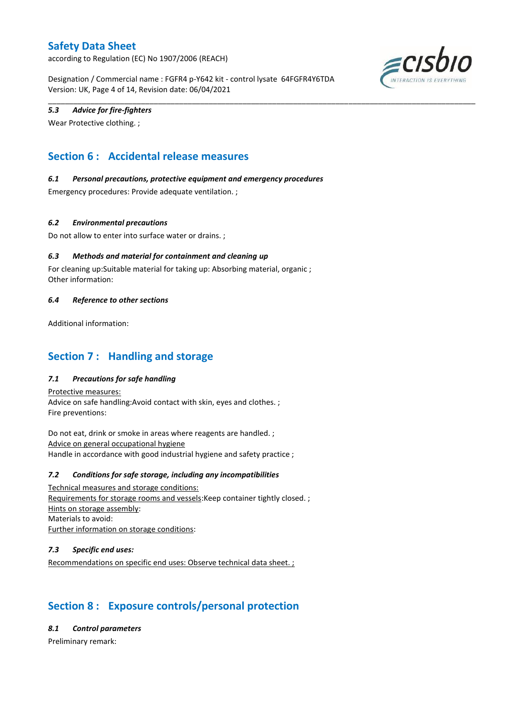according to Regulation (EC) No 1907/2006 (REACH)

Designation / Commercial name : FGFR4 p-Y642 kit - control lysate 64FGFR4Y6TDA Version: UK, Page 4 of 14, Revision date: 06/04/2021

\_\_\_\_\_\_\_\_\_\_\_\_\_\_\_\_\_\_\_\_\_\_\_\_\_\_\_\_\_\_\_\_\_\_\_\_\_\_\_\_\_\_\_\_\_\_\_\_\_\_\_\_\_\_\_\_\_\_\_\_\_\_\_\_\_\_\_\_\_\_\_\_\_\_\_\_\_\_\_\_\_\_\_\_\_\_\_\_\_\_\_\_\_\_\_\_\_\_\_\_\_



### *5.3 Advice for fire-fighters*

Wear Protective clothing. ;

# **Section 6 : Accidental release measures**

### *6.1 Personal precautions, protective equipment and emergency procedures*

Emergency procedures: Provide adequate ventilation. ;

### *6.2 Environmental precautions*

Do not allow to enter into surface water or drains. ;

### *6.3 Methods and material for containment and cleaning up*

For cleaning up:Suitable material for taking up: Absorbing material, organic ; Other information:

#### *6.4 Reference to other sections*

Additional information:

## **Section 7 : Handling and storage**

### *7.1 Precautions for safe handling*

Protective measures: Advice on safe handling:Avoid contact with skin, eyes and clothes. ; Fire preventions:

Do not eat, drink or smoke in areas where reagents are handled. ; Advice on general occupational hygiene Handle in accordance with good industrial hygiene and safety practice ;

#### *7.2 Conditions for safe storage, including any incompatibilities*

Technical measures and storage conditions: Requirements for storage rooms and vessels:Keep container tightly closed. ; Hints on storage assembly: Materials to avoid: Further information on storage conditions:

#### *7.3 Specific end uses:*

Recommendations on specific end uses: Observe technical data sheet. ;

# **Section 8 : Exposure controls/personal protection**

*8.1 Control parameters*

Preliminary remark: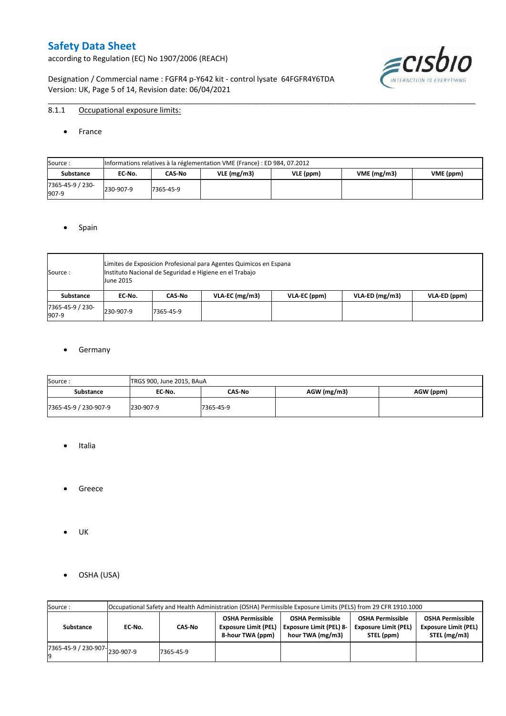according to Regulation (EC) No 1907/2006 (REACH)

Designation / Commercial name : FGFR4 p-Y642 kit - control lysate 64FGFR4Y6TDA Version: UK, Page 5 of 14, Revision date: 06/04/2021



### 8.1.1 Occupational exposure limits:

• France

| Source:                   |           | Informations relatives à la réglementation VME (France) : ED 984, 07.2012 |               |           |            |           |  |  |  |  |  |  |  |
|---------------------------|-----------|---------------------------------------------------------------------------|---------------|-----------|------------|-----------|--|--|--|--|--|--|--|
| <b>Substance</b>          | EC No.    | CAS-No                                                                    | $VLE$ (mg/m3) | VLE (ppm) | VME(mg/m3) | VME (ppm) |  |  |  |  |  |  |  |
| 7365-45-9 / 230-<br>907-9 | 230-907-9 | 7365-45-9                                                                 |               |           |            |           |  |  |  |  |  |  |  |

\_\_\_\_\_\_\_\_\_\_\_\_\_\_\_\_\_\_\_\_\_\_\_\_\_\_\_\_\_\_\_\_\_\_\_\_\_\_\_\_\_\_\_\_\_\_\_\_\_\_\_\_\_\_\_\_\_\_\_\_\_\_\_\_\_\_\_\_\_\_\_\_\_\_\_\_\_\_\_\_\_\_\_\_\_\_\_\_\_\_\_\_\_\_\_\_\_\_\_\_\_

#### • Spain

| Source:                   | <b>June 2015</b> | Limites de Exposicion Profesional para Agentes Quimicos en Espana<br>Instituto Nacional de Seguridad e Higiene en el Trabajo |                  |              |                  |              |  |  |  |  |  |  |
|---------------------------|------------------|------------------------------------------------------------------------------------------------------------------------------|------------------|--------------|------------------|--------------|--|--|--|--|--|--|
| Substance                 | EC No.           | CAS No                                                                                                                       | $VLA-EC$ (mg/m3) | VLA-EC (ppm) | $VLA-ED$ (mg/m3) | VLA-ED (ppm) |  |  |  |  |  |  |
| 7365-45-9 / 230-<br>907-9 | 230-907-9        | 7365-45-9                                                                                                                    |                  |              |                  |              |  |  |  |  |  |  |

#### **•** Germany

| Source:               | TRGS 900, June 2015, BAuA |           |             |           |
|-----------------------|---------------------------|-----------|-------------|-----------|
| <b>Substance</b>      | EC No.                    | CAS-No    | AGW (mg/m3) | AGW (ppm) |
| 7365-45-9 / 230-907-9 | 230-907-9                 | 7365-45-9 |             |           |

- Italia
- **•** Greece
- UK
- OSHA (USA)

| Source:              |           | Occupational Safety and Health Administration (OSHA) Permissible Exposure Limits (PELS) from 29 CFR 1910.1000<br><b>OSHA Permissible</b><br><b>OSHA Permissible</b><br><b>OSHA Permissible</b><br><b>OSHA Permissible</b><br><b>Exposure Limit (PEL)</b><br><b>Exposure Limit (PEL)</b><br><b>Exposure Limit (PEL) 8-</b><br><b>Exposure Limit (PEL)</b><br>CAS-No<br>EC-No. |                  |                  |            |              |  |  |  |  |  |  |  |  |
|----------------------|-----------|------------------------------------------------------------------------------------------------------------------------------------------------------------------------------------------------------------------------------------------------------------------------------------------------------------------------------------------------------------------------------|------------------|------------------|------------|--------------|--|--|--|--|--|--|--|--|
| Substance            |           |                                                                                                                                                                                                                                                                                                                                                                              | 8-hour TWA (ppm) | hour TWA (mg/m3) | STEL (ppm) | STEL (mg/m3) |  |  |  |  |  |  |  |  |
| 7365-45-9 / 230-907- | 230-907-9 | 7365-45-9                                                                                                                                                                                                                                                                                                                                                                    |                  |                  |            |              |  |  |  |  |  |  |  |  |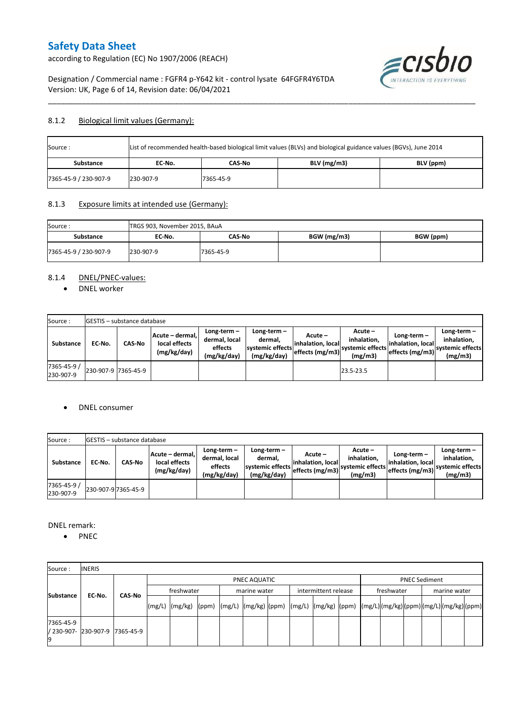according to Regulation (EC) No 1907/2006 (REACH)



Designation / Commercial name : FGFR4 p-Y642 kit - control lysate 64FGFR4Y6TDA Version: UK, Page 6 of 14, Revision date: 06/04/2021

### 8.1.2 Biological limit values (Germany):

| Source:               | List of recommended health-based biological limit values (BLVs) and biological guidance values (BGVs), June 2014 |           |               |           |  |  |  |  |  |  |
|-----------------------|------------------------------------------------------------------------------------------------------------------|-----------|---------------|-----------|--|--|--|--|--|--|
| Substance             | EC No.                                                                                                           | CAS-No    | $BLV$ (mg/m3) | BLV (ppm) |  |  |  |  |  |  |
| 7365-45-9 / 230-907-9 | 230-907-9                                                                                                        | 7365-45-9 |               |           |  |  |  |  |  |  |

\_\_\_\_\_\_\_\_\_\_\_\_\_\_\_\_\_\_\_\_\_\_\_\_\_\_\_\_\_\_\_\_\_\_\_\_\_\_\_\_\_\_\_\_\_\_\_\_\_\_\_\_\_\_\_\_\_\_\_\_\_\_\_\_\_\_\_\_\_\_\_\_\_\_\_\_\_\_\_\_\_\_\_\_\_\_\_\_\_\_\_\_\_\_\_\_\_\_\_\_\_

### 8.1.3 Exposure limits at intended use (Germany):

| Source:               | TRGS 903, November 2015, BAuA |           |             |           |
|-----------------------|-------------------------------|-----------|-------------|-----------|
| <b>Substance</b>      | EC No.                        | CAS-No    | BGW (mg/m3) | BGW (ppm) |
| 7365-45-9 / 230-907-9 | 230-907-9                     | 7365-45-9 |             |           |

### 8.1.4 DNEL/PNEC-values:

• DNEL worker

| Source:                  |                     | <b>GESTIS</b> – substance database |                                                 |                                                       |                                                             |                                                  |                                                       |                                                         |                                                             |
|--------------------------|---------------------|------------------------------------|-------------------------------------------------|-------------------------------------------------------|-------------------------------------------------------------|--------------------------------------------------|-------------------------------------------------------|---------------------------------------------------------|-------------------------------------------------------------|
| Substance                | EC No.              | <b>CAS-No</b>                      | Acute - dermal.<br>local effects<br>(mg/kg/day) | Long-term-<br>dermal, local<br>effects<br>(mg/kg/day) | $Long-term -$<br>dermal.<br>systemic effects<br>(mg/kg/day) | Acute –<br>linhalation. local<br>effects (mg/m3) | Acute -<br>inhalation.<br>systemic effects<br>(mg/m3) | Long-term -<br>linhalation. locall<br>effects $(mg/m3)$ | $Long-term -$<br>inhalation.<br>systemic effects<br>(mg/m3) |
| 7365-45-9 /<br>230-907-9 | 230-907-9 7365-45-9 |                                    |                                                 |                                                       |                                                             |                                                  | 23.5-23.5                                             |                                                         |                                                             |

#### DNEL consumer

| Source:                  |        | <b>GESTIS</b> – substance database |                                                 |                                                          |                                                             |                                                   |                                                       |                                                     |                                                             |
|--------------------------|--------|------------------------------------|-------------------------------------------------|----------------------------------------------------------|-------------------------------------------------------------|---------------------------------------------------|-------------------------------------------------------|-----------------------------------------------------|-------------------------------------------------------------|
| <b>Substance</b>         | EC-No. | <b>CAS No</b>                      | Acute - dermal,<br>local effects<br>(mg/kg/day) | Long-term $-$<br>dermal, local<br>effects<br>(mg/kg/day) | Long-term $-$<br>dermal.<br>systemic effects<br>(mg/kg/day) | Acute –<br>linhalation. locall<br>effects (mg/m3) | Acute -<br>inhalation.<br>systemic effects<br>(mg/m3) | Long-term-<br>linhalation. local<br>effects (mg/m3) | Long-term $-$<br>inhalation.<br>systemic effects<br>(mg/m3) |
| 7365-45-9 /<br>230-907-9 |        | 230-907-9 7365-45-9                |                                                 |                                                          |                                                             |                                                   |                                                       |                                                     |                                                             |

DNEL remark:

• PNEC

| Source:          | <b>INERIS</b>                  |               |              |                                                                                                                    |  |  |              |  |                      |                      |            |  |  |              |  |
|------------------|--------------------------------|---------------|--------------|--------------------------------------------------------------------------------------------------------------------|--|--|--------------|--|----------------------|----------------------|------------|--|--|--------------|--|
|                  |                                |               | PNEC AQUATIC |                                                                                                                    |  |  |              |  |                      | <b>PNEC Sediment</b> |            |  |  |              |  |
| <b>Substance</b> | EC-No.                         | <b>CAS-No</b> |              | freshwater                                                                                                         |  |  | marine water |  | intermittent release |                      | freshwater |  |  | marine water |  |
|                  |                                |               |              | [(mg/L)  (mg/kg)  (ppm)  (mg/L)  (mg/kg)  (ppm)  (mg/L)  (mg/kg)  (ppm)  (mg/L) (mg/kg) (ppm) (mg/L) (mg/kg) (ppm) |  |  |              |  |                      |                      |            |  |  |              |  |
| 7365-45-9        | / 230-907- 230-907-9 7365-45-9 |               |              |                                                                                                                    |  |  |              |  |                      |                      |            |  |  |              |  |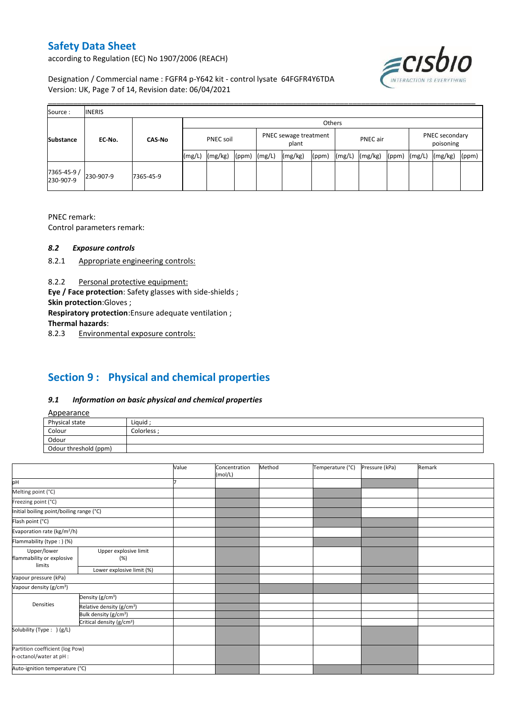according to Regulation (EC) No 1907/2006 (REACH)



Designation / Commercial name : FGFR4 p-Y642 kit - control lysate 64FGFR4Y6TDA Version: UK, Page 7 of 14, Revision date: 06/04/2021

| Source:                  | <b>INERIS</b> |               |                  |         |       |                                |         |       |                                                                                  |  |  |  |  |       |  |
|--------------------------|---------------|---------------|------------------|---------|-------|--------------------------------|---------|-------|----------------------------------------------------------------------------------|--|--|--|--|-------|--|
|                          |               |               |                  | Others  |       |                                |         |       |                                                                                  |  |  |  |  |       |  |
| <b>Substance</b>         | EC-No.        | <b>CAS-No</b> | <b>PNEC soil</b> |         |       | PNEC sewage treatment<br>plant |         |       | PNEC secondary<br>PNEC air<br>poisoning<br>(mg/kg)<br>(mg/kg)<br>(ppm)<br>(mg/L) |  |  |  |  |       |  |
|                          |               |               | (mg/L)           | (mg/kg) | (ppm) | (mg/L)                         | (mg/kg) | (ppm) | (mg/L)                                                                           |  |  |  |  | (ppm) |  |
| 7365-45-9 /<br>230-907-9 | 230-907-9     | 7365-45-9     |                  |         |       |                                |         |       |                                                                                  |  |  |  |  |       |  |

PNEC remark:

Control parameters remark:

### *8.2 Exposure controls*

- 8.2.1 Appropriate engineering controls:
- 8.2.2 Personal protective equipment:

**Eye / Face protection**: Safety glasses with side-shields ;

**Skin protection**:Gloves ;

**Respiratory protection**:Ensure adequate ventilation ;

**Thermal hazards**:

8.2.3 Environmental exposure controls:

# **Section 9 : Physical and chemical properties**

### *9.1 Information on basic physical and chemical properties*

|--|

| <b>Appearance</b>                                      |            |
|--------------------------------------------------------|------------|
| Physical state                                         | Liquid     |
| Colour<br>the control of the control of the control of | Colorless: |
| Odour                                                  |            |
| Odour threshold (ppm)                                  |            |

|                                                            |                                       | Value | Concentration<br>(mol/L) | Method | Temperature (°C) | Pressure (kPa) | Remark |
|------------------------------------------------------------|---------------------------------------|-------|--------------------------|--------|------------------|----------------|--------|
| þН                                                         |                                       |       |                          |        |                  |                |        |
| Melting point (°C)                                         |                                       |       |                          |        |                  |                |        |
| Freezing point (°C)                                        |                                       |       |                          |        |                  |                |        |
| Initial boiling point/boiling range (°C)                   |                                       |       |                          |        |                  |                |        |
| Flash point (°C)                                           |                                       |       |                          |        |                  |                |        |
| Evaporation rate (kg/m <sup>2</sup> /h)                    |                                       |       |                          |        |                  |                |        |
| Flammability (type: ) (%)                                  |                                       |       |                          |        |                  |                |        |
| Upper/lower                                                | Upper explosive limit                 |       |                          |        |                  |                |        |
| flammability or explosive                                  | (%)                                   |       |                          |        |                  |                |        |
| limits                                                     | Lower explosive limit (%)             |       |                          |        |                  |                |        |
| Vapour pressure (kPa)                                      |                                       |       |                          |        |                  |                |        |
| Vapour density (g/cm <sup>3</sup> )                        |                                       |       |                          |        |                  |                |        |
|                                                            | Density (g/cm <sup>3</sup> )          |       |                          |        |                  |                |        |
| Densities                                                  | Relative density (g/cm <sup>3</sup> ) |       |                          |        |                  |                |        |
|                                                            | Bulk density (g/cm <sup>3</sup> )     |       |                          |        |                  |                |        |
|                                                            | Critical density (g/cm <sup>3</sup> ) |       |                          |        |                  |                |        |
| Solubility (Type: ) (g/L)                                  |                                       |       |                          |        |                  |                |        |
| Partition coefficient (log Pow)<br>n-octanol/water at pH : |                                       |       |                          |        |                  |                |        |
| Auto-ignition temperature (°C)                             |                                       |       |                          |        |                  |                |        |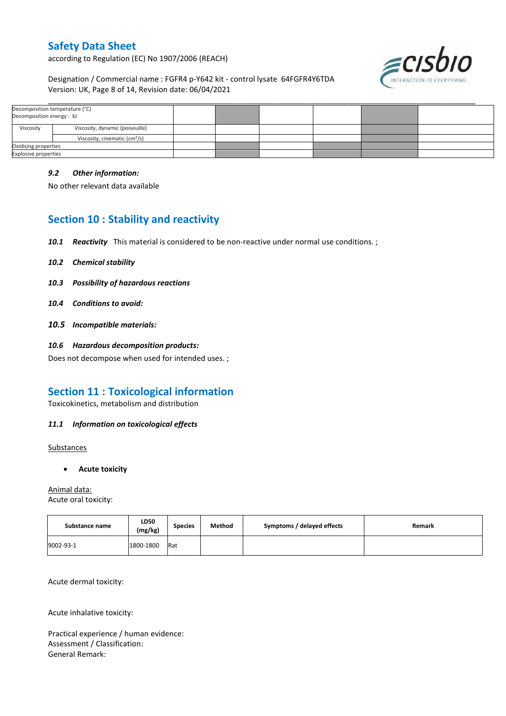according to Regulation (EC) No 1907/2006 (REACH)



Designation / Commercial name : FGFR4 p-Y642 kit - control lysate 64FGFR4Y6TDA Version: UK, Page 8 of 14, Revision date: 06/04/2021

| Decomposition temperature (°C)<br>Decomposition energy: kJ |                                           |  |  |  |
|------------------------------------------------------------|-------------------------------------------|--|--|--|
| Viscosity                                                  | Viscosity, dynamic (poiseuille)           |  |  |  |
|                                                            | Viscosity, cinematic (cm <sup>3</sup> /s) |  |  |  |
| Oxidising properties                                       |                                           |  |  |  |
| <b>Explosive properties</b>                                |                                           |  |  |  |

\_\_\_\_\_\_\_\_\_\_\_\_\_\_\_\_\_\_\_\_\_\_\_\_\_\_\_\_\_\_\_\_\_\_\_\_\_\_\_\_\_\_\_\_\_\_\_\_\_\_\_\_\_\_\_\_\_\_\_\_\_\_\_\_\_\_\_\_\_\_\_\_\_\_\_\_\_\_\_\_\_\_\_\_\_\_\_\_\_\_\_\_\_\_\_\_\_\_\_\_\_

#### *9.2 Other information:*

No other relevant data available

## **Section 10 : Stability and reactivity**

- *10.1 Reactivity* This material is considered to be non-reactive under normal use conditions. ;
- *10.2 Chemical stability*
- *10.3 Possibility of hazardous reactions*
- *10.4 Conditions to avoid:*
- *10.5 Incompatible materials:*
- *10.6 Hazardous decomposition products:*

Does not decompose when used for intended uses. ;

## **Section 11 : Toxicological information**

Toxicokinetics, metabolism and distribution

#### *11.1 Information on toxicological effects*

**Substances** 

**Acute toxicity**

Animal data: Acute oral toxicity:

| Substance name | LD50<br>(mg/kg) | <b>Species</b> | Method | Symptoms / delayed effects | Remark |
|----------------|-----------------|----------------|--------|----------------------------|--------|
| 9002-93-1      | 1800-1800       | <b>Rat</b>     |        |                            |        |

Acute dermal toxicity:

Acute inhalative toxicity:

Practical experience / human evidence: Assessment / Classification: General Remark: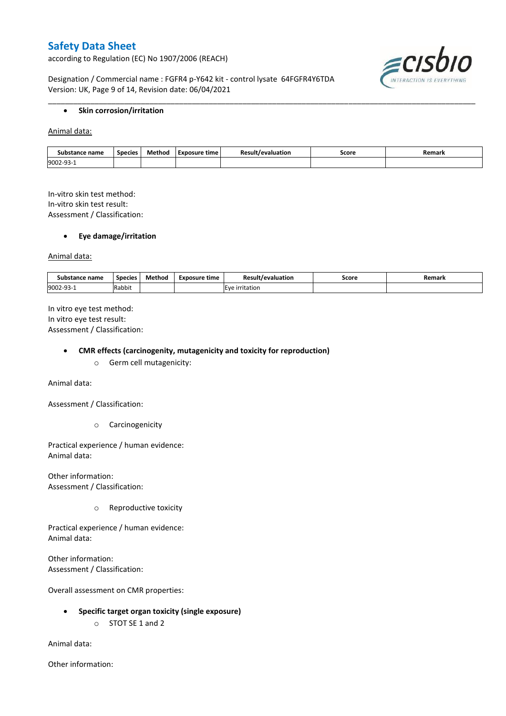according to Regulation (EC) No 1907/2006 (REACH)

Designation / Commercial name : FGFR4 p-Y642 kit - control lysate 64FGFR4Y6TDA Version: UK, Page 9 of 14, Revision date: 06/04/2021



#### **•** Skin corrosion/irritation

Animal data:

| Substance name        | Species | Method | Exposure time | evaluation/ | Score<br>. | Remark |
|-----------------------|---------|--------|---------------|-------------|------------|--------|
| 9002-9.<br><b>سات</b> |         |        |               |             |            |        |

\_\_\_\_\_\_\_\_\_\_\_\_\_\_\_\_\_\_\_\_\_\_\_\_\_\_\_\_\_\_\_\_\_\_\_\_\_\_\_\_\_\_\_\_\_\_\_\_\_\_\_\_\_\_\_\_\_\_\_\_\_\_\_\_\_\_\_\_\_\_\_\_\_\_\_\_\_\_\_\_\_\_\_\_\_\_\_\_\_\_\_\_\_\_\_\_\_\_\_\_\_

In-vitro skin test method: In-vitro skin test result: Assessment / Classification:

#### **Eye damage/irritation**

Animal data:

| Substance name   | <b>Species</b> | Method | Exposure time | <b>Result</b><br>*/evaluation | Score | Remark |
|------------------|----------------|--------|---------------|-------------------------------|-------|--------|
| 9002-93-<br>JJ - | Rabbit         |        |               | E<br>rritation                |       |        |

In vitro eye test method: In vitro eye test result: Assessment / Classification:

#### **CMR effects (carcinogenity, mutagenicity and toxicity for reproduction)**

o Germ cell mutagenicity:

Animal data:

Assessment / Classification:

o Carcinogenicity

Practical experience / human evidence: Animal data:

Other information: Assessment / Classification:

o Reproductive toxicity

Practical experience / human evidence: Animal data:

Other information: Assessment / Classification:

Overall assessment on CMR properties:

- **Specific target organ toxicity (single exposure)**
	- o STOT SE 1 and 2

Animal data:

Other information: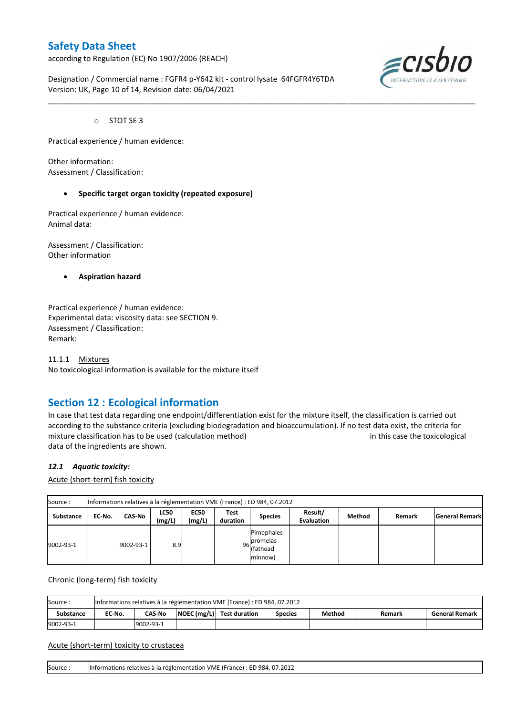according to Regulation (EC) No 1907/2006 (REACH)

Designation / Commercial name : FGFR4 p-Y642 kit - control lysate 64FGFR4Y6TDA Version: UK, Page 10 of 14, Revision date: 06/04/2021



o STOT SE 3

Practical experience / human evidence:

Other information: Assessment / Classification:

#### **Specific target organ toxicity (repeated exposure)**

Practical experience / human evidence: Animal data:

Assessment / Classification: Other information

**Aspiration hazard**

Practical experience / human evidence: Experimental data: viscosity data: see SECTION 9. Assessment / Classification: Remark:

11.1.1 Mixtures No toxicological information is available for the mixture itself

## **Section 12 : Ecological information**

In case that test data regarding one endpoint/differentiation exist for the mixture itself, the classification is carried out according to the substance criteria (excluding biodegradation and bioaccumulation). If no test data exist, the criteria for mixture classification has to be used (calculation method) in this case the toxicological data of the ingredients are shown.

\_\_\_\_\_\_\_\_\_\_\_\_\_\_\_\_\_\_\_\_\_\_\_\_\_\_\_\_\_\_\_\_\_\_\_\_\_\_\_\_\_\_\_\_\_\_\_\_\_\_\_\_\_\_\_\_\_\_\_\_\_\_\_\_\_\_\_\_\_\_\_\_\_\_\_\_\_\_\_\_\_\_\_\_\_\_\_\_\_\_\_\_\_\_\_\_\_\_\_\_\_

#### *12.1 Aquatic toxicity:*

Acute (short-term) fish toxicity

| Source:   | Informations relatives à la réglementation VME (France) : ED 984, 07.2012 |           |                       |                       |                  |                                                  |                              |        |        |                       |  |  |  |
|-----------|---------------------------------------------------------------------------|-----------|-----------------------|-----------------------|------------------|--------------------------------------------------|------------------------------|--------|--------|-----------------------|--|--|--|
| Substance | EC-No.                                                                    | CAS-No    | <b>LC50</b><br>(mg/L) | <b>EC50</b><br>(mg/L) | Test<br>duration | <b>Species</b>                                   | Result/<br><b>Evaluation</b> | Method | Remark | <b>General Remark</b> |  |  |  |
| 9002-93-1 |                                                                           | 9002-93-1 | 8.9                   |                       |                  | Pimephales<br>96 promelas<br>(fathead<br>minnow) |                              |        |        |                       |  |  |  |

Chronic (long-term) fish toxicity

| Source           | Informations relatives à la réglementation VME (France) : ED 984, 07.2012 |                                                                                                             |  |  |  |  |  |  |  |  |  |  |
|------------------|---------------------------------------------------------------------------|-------------------------------------------------------------------------------------------------------------|--|--|--|--|--|--|--|--|--|--|
| <b>Substance</b> | EC No.                                                                    | $\vert$ NOEC (mg/L) $\vert$ Test duration<br><b>CAS-No</b><br>Method<br>General Remark<br>Species<br>Remark |  |  |  |  |  |  |  |  |  |  |
| 9002-93-1        |                                                                           | 9002-93-1                                                                                                   |  |  |  |  |  |  |  |  |  |  |

Acute (short-term) toxicity to crustacea

Source : Informations relatives à la réglementation VME (France) : ED 984, 07.2012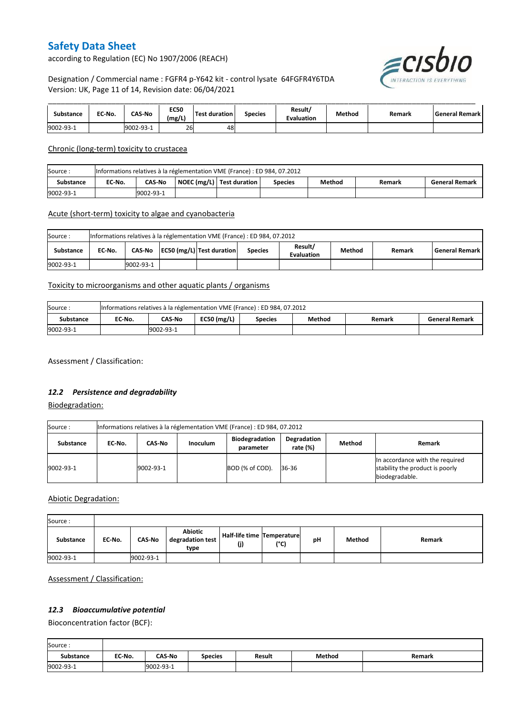according to Regulation (EC) No 1907/2006 (REACH)



### Designation / Commercial name : FGFR4 p-Y642 kit - control lysate 64FGFR4Y6TDA Version: UK, Page 11 of 14, Revision date: 06/04/2021

| substance | EC-No. | <b>CAS-No</b> | <b>EC50</b><br>(mg/L) | Test duration | <b>Species</b> | Result/<br><b>Evaluation</b> | Method | Remark | l General Remark l |
|-----------|--------|---------------|-----------------------|---------------|----------------|------------------------------|--------|--------|--------------------|
| 9002-93-1 |        | 9002-93-1     | 26                    | 48            |                |                              |        |        |                    |

Chronic (long-term) toxicity to crustacea

| Source:          | Informations relatives à la réglementation VME (France) : ED 984, 07.2012 |                                                                                                             |  |  |  |  |  |  |  |  |  |  |
|------------------|---------------------------------------------------------------------------|-------------------------------------------------------------------------------------------------------------|--|--|--|--|--|--|--|--|--|--|
| <b>Substance</b> | EC-No.                                                                    | NOEC (mg/L)   Test duration<br><b>CAS No</b><br>Method<br><b>General Remark</b><br><b>Species</b><br>Remark |  |  |  |  |  |  |  |  |  |  |
| 9002-93-1        |                                                                           | 9002-93-1                                                                                                   |  |  |  |  |  |  |  |  |  |  |

### Acute (short-term) toxicity to algae and cyanobacteria

| Source:   | Informations relatives à la réglementation VME (France) : ED 984, 07.2012 |           |  |                           |                |                              |        |        |                       |  |  |  |
|-----------|---------------------------------------------------------------------------|-----------|--|---------------------------|----------------|------------------------------|--------|--------|-----------------------|--|--|--|
| Substance | EC No.                                                                    | CAS-No    |  | EC50 (mg/L) Test duration | <b>Species</b> | Result/<br><b>Evaluation</b> | Method | Remark | <b>General Remark</b> |  |  |  |
| 9002-93-1 |                                                                           | 9002-93-1 |  |                           |                |                              |        |        |                       |  |  |  |

### Toxicity to microorganisms and other aquatic plants / organisms

| Source:   | Informations relatives à la réglementation VME (France) : ED 984, 07.2012 |           |  |                |        |        |                       |  |  |
|-----------|---------------------------------------------------------------------------|-----------|--|----------------|--------|--------|-----------------------|--|--|
| Substance | EC-No.                                                                    | CAS-No    |  | <b>Species</b> | Method | Remark | <b>General Remark</b> |  |  |
| 9002-93-1 |                                                                           | 9002-93-1 |  |                |        |        |                       |  |  |

Assessment / Classification:

### *12.2 Persistence and degradability*

Biodegradation:

| Source:   | Informations relatives à la réglementation VME (France) : ED 984, 07.2012 |           |                 |                                    |                         |        |                                                                                      |  |  |
|-----------|---------------------------------------------------------------------------|-----------|-----------------|------------------------------------|-------------------------|--------|--------------------------------------------------------------------------------------|--|--|
| Substance | EC No.                                                                    | CAS-No    | <b>Inoculum</b> | <b>Biodegradation</b><br>parameter | Degradation<br>rate (%) | Method | Remark                                                                               |  |  |
| 9002-93-1 |                                                                           | 9002-93-1 |                 | BOD (% of COD).                    | 36-36                   |        | In accordance with the required<br>stability the product is poorly<br>biodegradable. |  |  |

Abiotic Degradation:

| Source:   |        |               |                                            |                                       |      |    |        |        |
|-----------|--------|---------------|--------------------------------------------|---------------------------------------|------|----|--------|--------|
| Substance | EC-No. | <b>CAS-No</b> | <b>Abiotic</b><br>degradation test<br>type | Half-life time   Temperature  <br>(j) | (°C) | рH | Method | Remark |
| 9002-93-1 |        | 9002-93-1     |                                            |                                       |      |    |        |        |

Assessment / Classification:

## *12.3 Bioaccumulative potential*

Bioconcentration factor (BCF):

Ē

| Source:          |        |               |                |               |        |        |
|------------------|--------|---------------|----------------|---------------|--------|--------|
| <b>Substance</b> | EC No. | <b>CAS-No</b> | <b>Species</b> | <b>Result</b> | Method | Remark |
| 9002-93-1        |        | 9002-93-1     |                |               |        |        |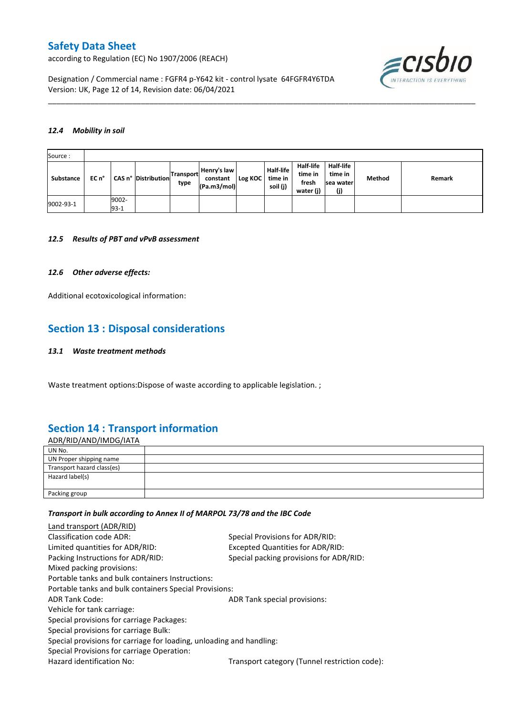according to Regulation (EC) No 1907/2006 (REACH)

≡cısbıo

Designation / Commercial name : FGFR4 p-Y642 kit - control lysate 64FGFR4Y6TDA Version: UK, Page 12 of 14, Revision date: 06/04/2021

#### *12.4 Mobility in soil*

| Source:   |       |                 |                     |                          |                                        |         |                                         |                                            |                                          |        |        |
|-----------|-------|-----------------|---------------------|--------------------------|----------------------------------------|---------|-----------------------------------------|--------------------------------------------|------------------------------------------|--------|--------|
| Substance | EC n° |                 | CAS n° Distribution | <b>Transport</b><br>type | Henry's law<br>constant<br>(Pa.m3/mol) | Log KOC | <b>Half-life</b><br>time in<br>soil (j) | Half-life<br>time in<br>fresh<br>water (j) | Half-life<br>time in<br>sea water<br>(j) | Method | Remark |
| 9002-93-1 |       | 9002-<br>$93-1$ |                     |                          |                                        |         |                                         |                                            |                                          |        |        |

\_\_\_\_\_\_\_\_\_\_\_\_\_\_\_\_\_\_\_\_\_\_\_\_\_\_\_\_\_\_\_\_\_\_\_\_\_\_\_\_\_\_\_\_\_\_\_\_\_\_\_\_\_\_\_\_\_\_\_\_\_\_\_\_\_\_\_\_\_\_\_\_\_\_\_\_\_\_\_\_\_\_\_\_\_\_\_\_\_\_\_\_\_\_\_\_\_\_\_\_\_

#### *12.5 Results of PBT and vPvB assessment*

#### *12.6 Other adverse effects:*

Additional ecotoxicological information:

## **Section 13 : Disposal considerations**

#### *13.1 Waste treatment methods*

Waste treatment options:Dispose of waste according to applicable legislation. ;

## **Section 14 : Transport information**

| <u>ADR/RID/AND/IMDG/IATA</u> |  |
|------------------------------|--|
| UN No.                       |  |
| UN Proper shipping name      |  |
| Transport hazard class(es)   |  |
| Hazard label(s)              |  |
|                              |  |
| Packing group                |  |

#### *Transport in bulk according to Annex II of MARPOL 73/78 and the IBC Code*

| Land transport (ADR/RID)                                             |                                               |
|----------------------------------------------------------------------|-----------------------------------------------|
| Classification code ADR:                                             | Special Provisions for ADR/RID:               |
| Limited quantities for ADR/RID:                                      | Excepted Quantities for ADR/RID:              |
| Packing Instructions for ADR/RID:                                    | Special packing provisions for ADR/RID:       |
| Mixed packing provisions:                                            |                                               |
| Portable tanks and bulk containers Instructions:                     |                                               |
| Portable tanks and bulk containers Special Provisions:               |                                               |
| <b>ADR Tank Code:</b>                                                | ADR Tank special provisions:                  |
| Vehicle for tank carriage:                                           |                                               |
| Special provisions for carriage Packages:                            |                                               |
| Special provisions for carriage Bulk:                                |                                               |
| Special provisions for carriage for loading, unloading and handling: |                                               |
| Special Provisions for carriage Operation:                           |                                               |
| Hazard identification No:                                            | Transport category (Tunnel restriction code): |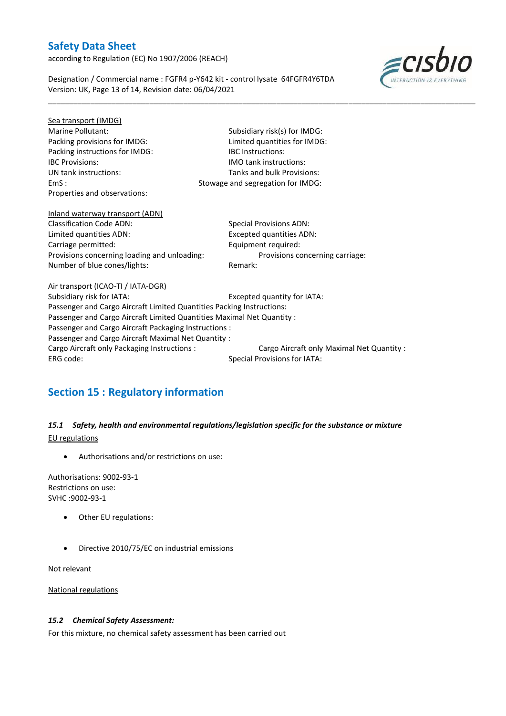according to Regulation (EC) No 1907/2006 (REACH)

≡cısbıo

Designation / Commercial name : FGFR4 p-Y642 kit - control lysate 64FGFR4Y6TDA Version: UK, Page 13 of 14, Revision date: 06/04/2021

| Sea transport (IMDG)                                                   |                                            |  |  |  |  |
|------------------------------------------------------------------------|--------------------------------------------|--|--|--|--|
| Marine Pollutant:                                                      | Subsidiary risk(s) for IMDG:               |  |  |  |  |
| Packing provisions for IMDG:                                           | Limited quantities for IMDG:               |  |  |  |  |
| Packing instructions for IMDG:                                         | <b>IBC</b> Instructions:                   |  |  |  |  |
| <b>IBC Provisions:</b>                                                 | <b>IMO</b> tank instructions:              |  |  |  |  |
| UN tank instructions:                                                  | Tanks and bulk Provisions:                 |  |  |  |  |
| EmS:                                                                   | Stowage and segregation for IMDG:          |  |  |  |  |
| Properties and observations:                                           |                                            |  |  |  |  |
| Inland waterway transport (ADN)                                        |                                            |  |  |  |  |
| <b>Classification Code ADN:</b>                                        | Special Provisions ADN:                    |  |  |  |  |
| Limited quantities ADN:                                                | <b>Excepted quantities ADN:</b>            |  |  |  |  |
| Carriage permitted:                                                    | Equipment required:                        |  |  |  |  |
| Provisions concerning loading and unloading:                           | Provisions concerning carriage:            |  |  |  |  |
| Number of blue cones/lights:                                           | Remark:                                    |  |  |  |  |
| Air transport (ICAO-TI / IATA-DGR)                                     |                                            |  |  |  |  |
| Subsidiary risk for IATA:                                              | Excepted quantity for IATA:                |  |  |  |  |
| Passenger and Cargo Aircraft Limited Quantities Packing Instructions:  |                                            |  |  |  |  |
| Passenger and Cargo Aircraft Limited Quantities Maximal Net Quantity : |                                            |  |  |  |  |
| Passenger and Cargo Aircraft Packaging Instructions :                  |                                            |  |  |  |  |
| Passenger and Cargo Aircraft Maximal Net Quantity :                    |                                            |  |  |  |  |
| Cargo Aircraft only Packaging Instructions :                           | Cargo Aircraft only Maximal Net Quantity : |  |  |  |  |
| ERG code:                                                              | <b>Special Provisions for IATA:</b>        |  |  |  |  |
|                                                                        |                                            |  |  |  |  |

\_\_\_\_\_\_\_\_\_\_\_\_\_\_\_\_\_\_\_\_\_\_\_\_\_\_\_\_\_\_\_\_\_\_\_\_\_\_\_\_\_\_\_\_\_\_\_\_\_\_\_\_\_\_\_\_\_\_\_\_\_\_\_\_\_\_\_\_\_\_\_\_\_\_\_\_\_\_\_\_\_\_\_\_\_\_\_\_\_\_\_\_\_\_\_\_\_\_\_\_\_

# **Section 15 : Regulatory information**

## *15.1 Safety, health and environmental regulations/legislation specific for the substance or mixture* EU regulations

Authorisations and/or restrictions on use:

Authorisations: 9002-93-1 Restrictions on use: SVHC :9002-93-1

- Other EU regulations:
- Directive 2010/75/EC on industrial emissions

Not relevant

National regulations

### *15.2 Chemical Safety Assessment:*

For this mixture, no chemical safety assessment has been carried out